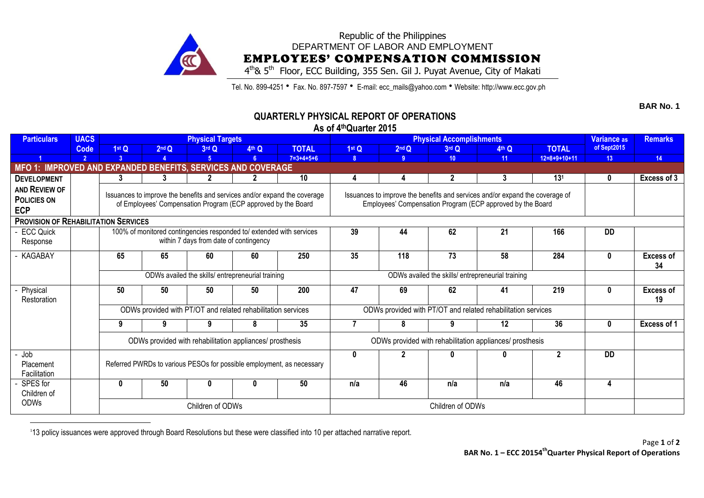

## Republic of the Philippines DEPARTMENT OF LABOR AND EMPLOYMENT EMPLOYEES' COMPENSATION COMMISSION

4<sup>th</sup>& 5<sup>th</sup> Floor, ECC Building, 355 Sen. Gil J. Puyat Avenue, City of Makati

Tel. No. 899-4251 • Fax. No. 897-7597 • E-mail: ecc\_mails@yahoo.com • Website: http://www.ecc.gov.ph

## **QUARTERLY PHYSICAL REPORT OF OPERATIONS**

**As of 4 thQuarter 2015**

| <b>Particulars</b>                                           | <b>UACS</b>    |                                                                                                                                                           |                                                                      | <b>Physical Targets</b>                           |       |                                                                       |                   | <b>Physical Accomplishments</b>                              | Variance as     | <b>Remarks</b>    |                 |              |                  |
|--------------------------------------------------------------|----------------|-----------------------------------------------------------------------------------------------------------------------------------------------------------|----------------------------------------------------------------------|---------------------------------------------------|-------|-----------------------------------------------------------------------|-------------------|--------------------------------------------------------------|-----------------|-------------------|-----------------|--------------|------------------|
|                                                              | Code           | 1 <sup>st</sup> Q                                                                                                                                         | 2 <sup>nd</sup> Q                                                    | 3rd Q                                             | 4th Q | <b>TOTAL</b>                                                          | 1 <sup>st</sup> Q | 2 <sup>nd</sup> Q                                            | 3rd Q           | 4 <sup>th</sup> Q | <b>TOTAL</b>    | of Sept2015  |                  |
|                                                              | $\overline{2}$ | -3                                                                                                                                                        |                                                                      | 5 <sup>1</sup>                                    | 6     | $7=3+4+5+6$                                                           | 8                 | -9                                                           | 10 <sup>1</sup> | 11                | $12=8+9+10+11$  | 13           | 14               |
| MFO 1: IMPROVED AND EXPANDED BENEFITS, SERVICES AND COVERAGE |                |                                                                                                                                                           |                                                                      |                                                   |       |                                                                       |                   |                                                              |                 |                   |                 |              |                  |
| <b>DEVELOPMENT</b>                                           |                | 3                                                                                                                                                         | 3                                                                    | າ                                                 |       | 10                                                                    |                   | 4                                                            | $\mathbf{2}$    | 3                 | 13 <sup>1</sup> | $\mathbf 0$  | Excess of 3      |
| AND REVIEW OF                                                |                |                                                                                                                                                           |                                                                      |                                                   |       |                                                                       |                   |                                                              |                 |                   |                 |              |                  |
| <b>POLICIES ON</b>                                           |                | Issuances to improve the benefits and services and/or expand the coverage<br>Issuances to improve the benefits and services and/or expand the coverage of |                                                                      |                                                   |       |                                                                       |                   |                                                              |                 |                   |                 |              |                  |
| <b>ECP</b>                                                   |                | Employees' Compensation Program (ECP approved by the Board<br>of Employees' Compensation Program (ECP approved by the Board                               |                                                                      |                                                   |       |                                                                       |                   |                                                              |                 |                   |                 |              |                  |
| <b>PROVISION OF REHABILITATION SERVICES</b>                  |                |                                                                                                                                                           |                                                                      |                                                   |       |                                                                       |                   |                                                              |                 |                   |                 |              |                  |
| <b>ECC Quick</b>                                             |                |                                                                                                                                                           | 100% of monitored contingencies responded to/ extended with services |                                                   |       |                                                                       | 44                | 62                                                           | 21              | 166               | <b>DD</b>       |              |                  |
| Response                                                     |                | within 7 days from date of contingency                                                                                                                    |                                                                      |                                                   |       |                                                                       |                   |                                                              |                 |                   |                 |              |                  |
| KAGABAY                                                      |                | 65                                                                                                                                                        | 65                                                                   | 60                                                | 60    | 250                                                                   | 35                | 118                                                          | 73              | 58                | 284             | $\mathbf{0}$ | <b>Excess of</b> |
|                                                              |                |                                                                                                                                                           |                                                                      |                                                   |       |                                                                       |                   |                                                              |                 |                   |                 |              | 34               |
|                                                              |                |                                                                                                                                                           |                                                                      | ODWs availed the skills/ entrepreneurial training |       |                                                                       |                   | ODWs availed the skills/ entrepreneurial training            |                 |                   |                 |              |                  |
| Physical                                                     |                | 50                                                                                                                                                        | 50                                                                   | 50                                                | 50    | 200                                                                   | 47                | 69                                                           | 62              | 41                | 219             | $\bf{0}$     | <b>Excess of</b> |
| Restoration                                                  |                |                                                                                                                                                           |                                                                      |                                                   |       |                                                                       |                   |                                                              |                 |                   |                 |              | 19               |
|                                                              |                |                                                                                                                                                           | ODWs provided with PT/OT and related rehabilitation services         |                                                   |       |                                                                       |                   | ODWs provided with PT/OT and related rehabilitation services |                 |                   |                 |              |                  |
|                                                              |                | 9                                                                                                                                                         | 9                                                                    | 9                                                 | 8     | 35                                                                    |                   | 8                                                            |                 | 12                | 36              | $\mathbf{0}$ | Excess of 1      |
|                                                              |                |                                                                                                                                                           | ODWs provided with rehabilitation appliances/ prosthesis             |                                                   |       |                                                                       |                   | ODWs provided with rehabilitation appliances/ prosthesis     |                 |                   |                 |              |                  |
| - Job                                                        |                | $\boldsymbol{\mathsf{p}}$<br>$\bf{0}$                                                                                                                     |                                                                      |                                                   |       |                                                                       |                   |                                                              |                 |                   |                 | <b>DD</b>    |                  |
| Placement                                                    |                |                                                                                                                                                           |                                                                      |                                                   |       | Referred PWRDs to various PESOs for possible employment, as necessary |                   |                                                              |                 |                   |                 |              |                  |
| Facilitation                                                 |                |                                                                                                                                                           |                                                                      |                                                   |       |                                                                       |                   |                                                              |                 |                   |                 |              |                  |
| SPES for                                                     |                | 0                                                                                                                                                         | 50                                                                   | n                                                 | 0     | 50                                                                    | n/a               | 46                                                           | n/a             | n/a               | 46              | 4            |                  |
| Children of                                                  |                |                                                                                                                                                           |                                                                      |                                                   |       |                                                                       |                   |                                                              |                 |                   |                 |              |                  |
| <b>ODWs</b>                                                  |                |                                                                                                                                                           |                                                                      | Children of ODWs                                  |       |                                                                       |                   |                                                              |                 |                   |                 |              |                  |

 $\overline{a}$ 1 13 policy issuances were approved through Board Resolutions but these were classified into 10 per attached narrative report. **BAR No. 1**